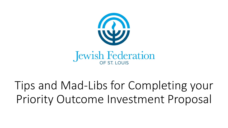

Tips and Mad-Libs for Completing your Priority Outcome Investment Proposal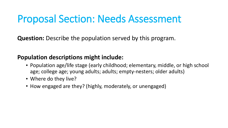## Proposal Section: Needs Assessment

**Question:** Describe the population served by this program.

### **Population descriptions might include:**

- Population age/life stage (early childhood; elementary, middle, or high school age; college age; young adults; adults; empty-nesters; older adults)
- Where do they live?
- How engaged are they? (highly, moderately, or unengaged)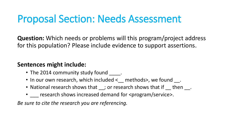# Proposal Section: Needs Assessment

**Question:** Which needs or problems will this program/project address for this population? Please include evidence to support assertions.

### **Sentences might include:**

- The 2014 community study found \_\_\_\_\_.
- In our own research, which included < exterpredictor and proper
- National research shows that \_\_; or research shows that if \_\_ then \_\_\_.
- research shows increased demand for <program/service>.

*Be sure to cite the research you are referencing.*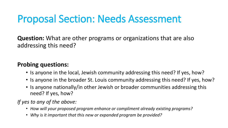# Proposal Section: Needs Assessment

**Question:** What are other programs or organizations that are also addressing this need?

### **Probing questions:**

- Is anyone in the local, Jewish community addressing this need? If yes, how?
- Is anyone in the broader St. Louis community addressing this need? If yes, how?
- Is anyone nationally/in other Jewish or broader communities addressing this need? If yes, how?

*If yes to any of the above:* 

- *How will your proposed program enhance or compliment already existing programs?*
- *Why is it important that this new or expanded program be provided?*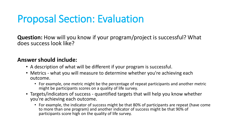# Proposal Section: Evaluation

**Question:** How will you know if your program/project is successful? What does success look like?

#### **Answer should include:**

- A description of what will be different if your program is successful.
- Metrics what you will measure to determine whether you're achieving each outcome.
	- For example, one metric might be the percentage of repeat participants and another metric might be participants scores on a quality of life survey.
- Targets/indicators of success quantified targets that will help you know whether you're achieving each outcome.
	- For example, the indicator of success might be that 80% of participants are repeat (have come to more than one program) and another indicator of success might be that 90% of participants score high on the quality of life survey.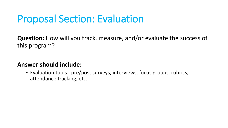# Proposal Section: Evaluation

**Question:** How will you track, measure, and/or evaluate the success of this program?

### **Answer should include:**

• Evaluation tools - pre/post surveys, interviews, focus groups, rubrics, attendance tracking, etc.